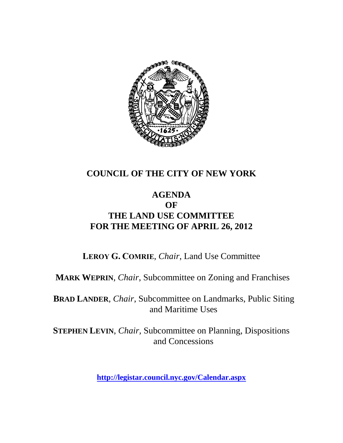

### **COUNCIL OF THE CITY OF NEW YORK**

### **AGENDA OF THE LAND USE COMMITTEE FOR THE MEETING OF APRIL 26, 2012**

**LEROY G. COMRIE**, *Chair*, Land Use Committee

**MARK WEPRIN**, *Chair*, Subcommittee on Zoning and Franchises

**BRAD LANDER**, *Chair*, Subcommittee on Landmarks, Public Siting and Maritime Uses

**STEPHEN LEVIN**, *Chair,* Subcommittee on Planning, Dispositions and Concessions

**<http://legistar.council.nyc.gov/Calendar.aspx>**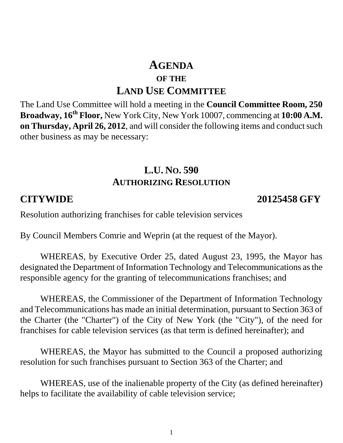# **AGENDA OF THE LAND USE COMMITTEE**

The Land Use Committee will hold a meeting in the **Council Committee Room, 250 Broadway, 16th Floor,** New York City, New York 10007, commencing at **10:00 A.M. on Thursday, April 26, 2012**, and will consider the following items and conduct such other business as may be necessary:

## **L.U. NO. 590 AUTHORIZING RESOLUTION**

**CITYWIDE 20125458 GFY**

Resolution authorizing franchises for cable television services

By Council Members Comrie and Weprin (at the request of the Mayor).

WHEREAS, by Executive Order 25, dated August 23, 1995, the Mayor has designated the Department of Information Technology and Telecommunications as the responsible agency for the granting of telecommunications franchises; and

WHEREAS, the Commissioner of the Department of Information Technology and Telecommunications has made an initial determination, pursuant to Section 363 of the Charter (the "Charter") of the City of New York (the "City"), of the need for franchises for cable television services (as that term is defined hereinafter); and

WHEREAS, the Mayor has submitted to the Council a proposed authorizing resolution for such franchises pursuant to Section 363 of the Charter; and

WHEREAS, use of the inalienable property of the City (as defined hereinafter) helps to facilitate the availability of cable television service;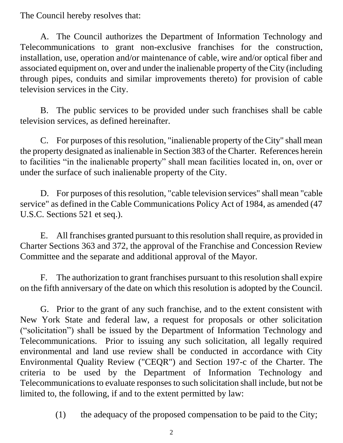The Council hereby resolves that:

A. The Council authorizes the Department of Information Technology and Telecommunications to grant non-exclusive franchises for the construction, installation, use, operation and/or maintenance of cable, wire and/or optical fiber and associated equipment on, over and under the inalienable property of the City (including through pipes, conduits and similar improvements thereto) for provision of cable television services in the City.

B. The public services to be provided under such franchises shall be cable television services, as defined hereinafter.

C. For purposes of this resolution, "inalienable property of the City" shall mean the property designated as inalienable in Section 383 of the Charter. References herein to facilities "in the inalienable property" shall mean facilities located in, on, over or under the surface of such inalienable property of the City.

D. For purposes of this resolution, "cable television services" shall mean "cable service" as defined in the Cable Communications Policy Act of 1984, as amended (47 U.S.C. Sections 521 et seq.).

E. All franchises granted pursuant to this resolution shall require, as provided in Charter Sections 363 and 372, the approval of the Franchise and Concession Review Committee and the separate and additional approval of the Mayor.

F. The authorization to grant franchises pursuant to this resolution shall expire on the fifth anniversary of the date on which this resolution is adopted by the Council.

G. Prior to the grant of any such franchise, and to the extent consistent with New York State and federal law, a request for proposals or other solicitation ("solicitation") shall be issued by the Department of Information Technology and Telecommunications. Prior to issuing any such solicitation, all legally required environmental and land use review shall be conducted in accordance with City Environmental Quality Review ("CEQR") and Section 197-c of the Charter. The criteria to be used by the Department of Information Technology and Telecommunications to evaluate responses to such solicitation shall include, but not be limited to, the following, if and to the extent permitted by law:

(1) the adequacy of the proposed compensation to be paid to the City;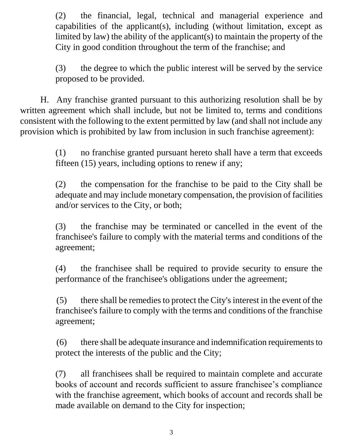(2) the financial, legal, technical and managerial experience and capabilities of the applicant(s), including (without limitation, except as limited by law) the ability of the applicant(s) to maintain the property of the City in good condition throughout the term of the franchise; and

(3) the degree to which the public interest will be served by the service proposed to be provided.

H. Any franchise granted pursuant to this authorizing resolution shall be by written agreement which shall include, but not be limited to, terms and conditions consistent with the following to the extent permitted by law (and shall not include any provision which is prohibited by law from inclusion in such franchise agreement):

> (1) no franchise granted pursuant hereto shall have a term that exceeds fifteen (15) years, including options to renew if any;

> (2) the compensation for the franchise to be paid to the City shall be adequate and may include monetary compensation, the provision of facilities and/or services to the City, or both;

> (3) the franchise may be terminated or cancelled in the event of the franchisee's failure to comply with the material terms and conditions of the agreement;

> (4) the franchisee shall be required to provide security to ensure the performance of the franchisee's obligations under the agreement;

> (5) there shall be remedies to protect the City's interest in the event of the franchisee's failure to comply with the terms and conditions of the franchise agreement;

> (6) there shall be adequate insurance and indemnification requirements to protect the interests of the public and the City;

> (7) all franchisees shall be required to maintain complete and accurate books of account and records sufficient to assure franchisee's compliance with the franchise agreement, which books of account and records shall be made available on demand to the City for inspection;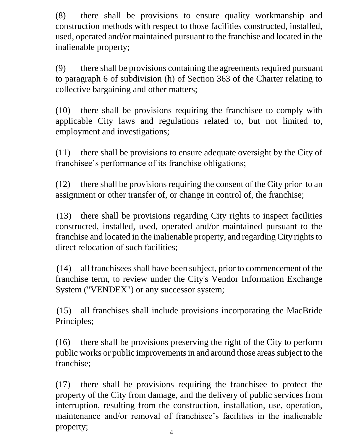(8) there shall be provisions to ensure quality workmanship and construction methods with respect to those facilities constructed, installed, used, operated and/or maintained pursuant to the franchise and located in the inalienable property;

(9) there shall be provisions containing the agreements required pursuant to paragraph 6 of subdivision (h) of Section 363 of the Charter relating to collective bargaining and other matters;

(10) there shall be provisions requiring the franchisee to comply with applicable City laws and regulations related to, but not limited to, employment and investigations;

(11) there shall be provisions to ensure adequate oversight by the City of franchisee's performance of its franchise obligations;

(12) there shall be provisions requiring the consent of the City prior to an assignment or other transfer of, or change in control of, the franchise;

(13) there shall be provisions regarding City rights to inspect facilities constructed, installed, used, operated and/or maintained pursuant to the franchise and located in the inalienable property, and regarding City rights to direct relocation of such facilities;

(14) all franchisees shall have been subject, prior to commencement of the franchise term, to review under the City's Vendor Information Exchange System ("VENDEX") or any successor system;

(15) all franchises shall include provisions incorporating the MacBride Principles;

(16) there shall be provisions preserving the right of the City to perform public works or public improvements in and around those areas subject to the franchise;

(17) there shall be provisions requiring the franchisee to protect the property of the City from damage, and the delivery of public services from interruption, resulting from the construction, installation, use, operation, maintenance and/or removal of franchisee's facilities in the inalienable property;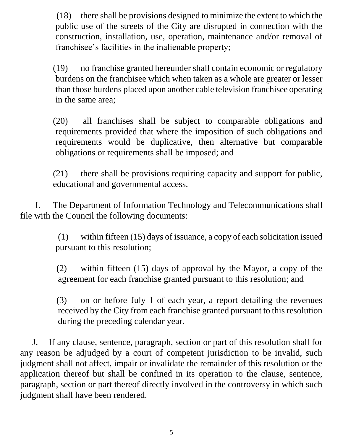(18) there shall be provisions designed to minimize the extent to which the public use of the streets of the City are disrupted in connection with the construction, installation, use, operation, maintenance and/or removal of franchisee's facilities in the inalienable property;

(19) no franchise granted hereunder shall contain economic or regulatory burdens on the franchisee which when taken as a whole are greater or lesser than those burdens placed upon another cable television franchisee operating in the same area;

(20) all franchises shall be subject to comparable obligations and requirements provided that where the imposition of such obligations and requirements would be duplicative, then alternative but comparable obligations or requirements shall be imposed; and

(21) there shall be provisions requiring capacity and support for public, educational and governmental access.

I. The Department of Information Technology and Telecommunications shall file with the Council the following documents:

> (1) within fifteen (15) days of issuance, a copy of each solicitation issued pursuant to this resolution;

> (2) within fifteen (15) days of approval by the Mayor, a copy of the agreement for each franchise granted pursuant to this resolution; and

> (3) on or before July 1 of each year, a report detailing the revenues received by the City from each franchise granted pursuant to this resolution during the preceding calendar year.

J. If any clause, sentence, paragraph, section or part of this resolution shall for any reason be adjudged by a court of competent jurisdiction to be invalid, such judgment shall not affect, impair or invalidate the remainder of this resolution or the application thereof but shall be confined in its operation to the clause, sentence, paragraph, section or part thereof directly involved in the controversy in which such judgment shall have been rendered.